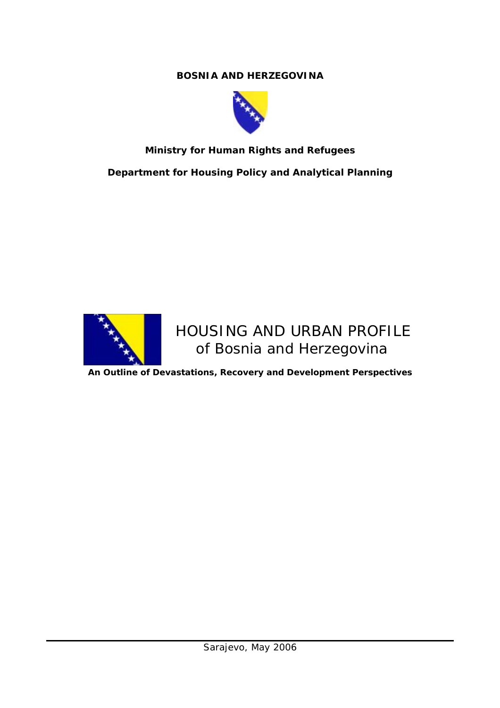# **BOSNIA AND HERZEGOVINA**



# **Ministry for Human Rights and Refugees**

*Department for Housing Policy and Analytical Planning* 



# HOUSING AND URBAN PROFILE of Bosnia and Herzegovina

**An Outline of Devastations, Recovery and Development Perspectives**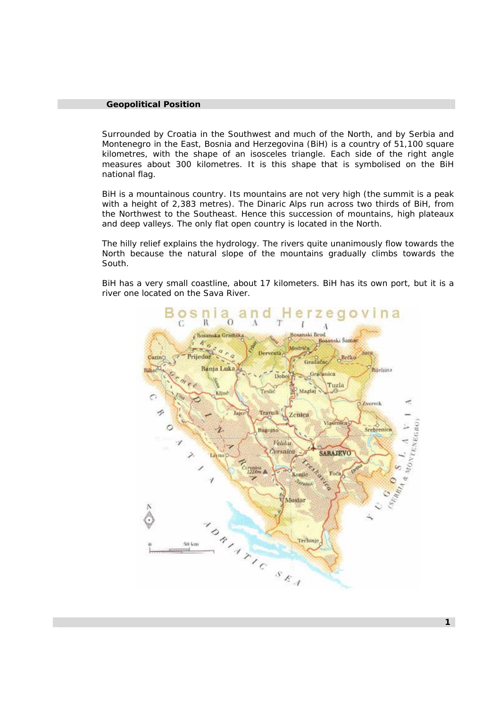#### **Geopolitical Position**

Surrounded by Croatia in the Southwest and much of the North, and by Serbia and Montenegro in the East, Bosnia and Herzegovina (BiH) is a country of 51,100 square kilometres, with the shape of an isosceles triangle. Each side of the right angle measures about 300 kilometres. It is this shape that is symbolised on the BiH national flag.

BiH is a mountainous country. Its mountains are not very high (the summit is a peak with a height of 2,383 metres). The Dinaric Alps run across two thirds of BiH, from the Northwest to the Southeast. Hence this succession of mountains, high plateaux and deep valleys. The only flat open country is located in the North.

The hilly relief explains the hydrology. The rivers quite unanimously flow towards the North because the natural slope of the mountains gradually climbs towards the South.

BiH has a very small coastline, about 17 kilometers. BiH has its own port, but it is a river one located on the Sava River.

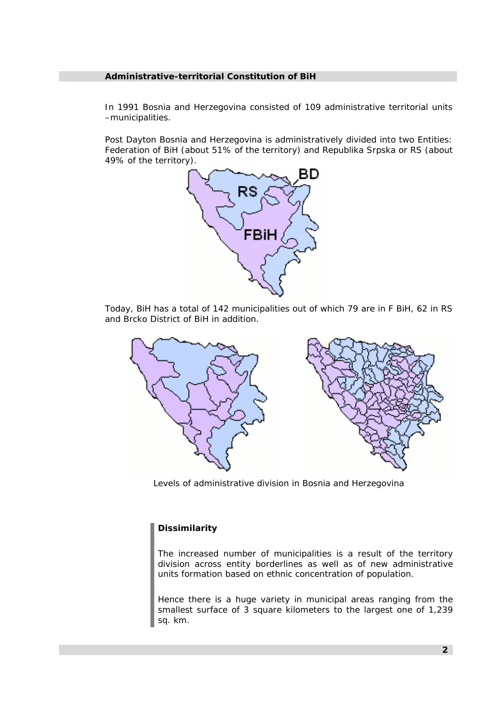#### **Administrative-territorial Constitution of BiH**

In 1991 Bosnia and Herzegovina consisted of 109 administrative territorial units –municipalities.

Post Dayton Bosnia and Herzegovina is administratively divided into two Entities: Federation of BiH (about 51% of the territory) and Republika Srpska or RS (about 49% of the territory).



Today, BiH has a total of 142 municipalities out of which 79 are in F BiH, 62 in RS and Brcko District of BiH in addition.



*Levels of administrative division in Bosnia and Herzegovina* 

# *Dissimilarity*

*The increased number of municipalities is a result of the territory division across entity borderlines as well as of new administrative units formation based on ethnic concentration of population.* 

*Hence there is a huge variety in municipal areas ranging from the smallest surface of 3 square kilometers to the largest one of 1,239 sq. km.*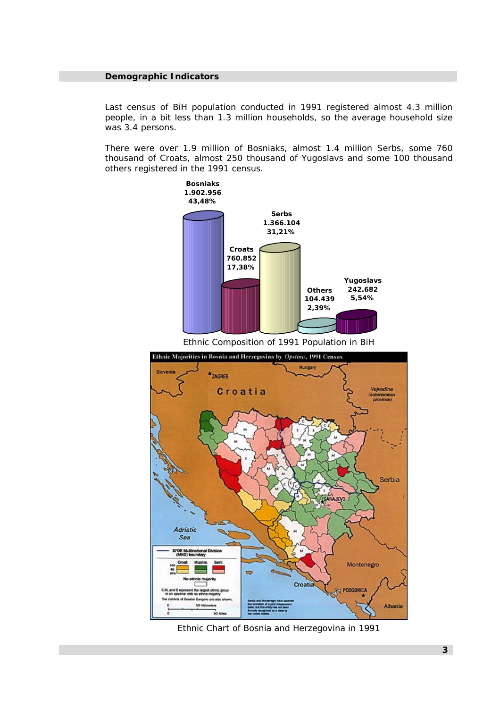#### **Demographic Indicators**

Last census of BiH population conducted in 1991 registered almost 4.3 million people, in a bit less than 1.3 million households, so the average household size was 3.4 persons.

There were over 1.9 million of Bosniaks, almost 1.4 million Serbs, some 760 thousand of Croats, almost 250 thousand of Yugoslavs and some 100 thousand others registered in the 1991 census.



*Ethnic Composition of 1991 Population in BiH* 



*Ethnic Chart of Bosnia and Herzegovina in 1991*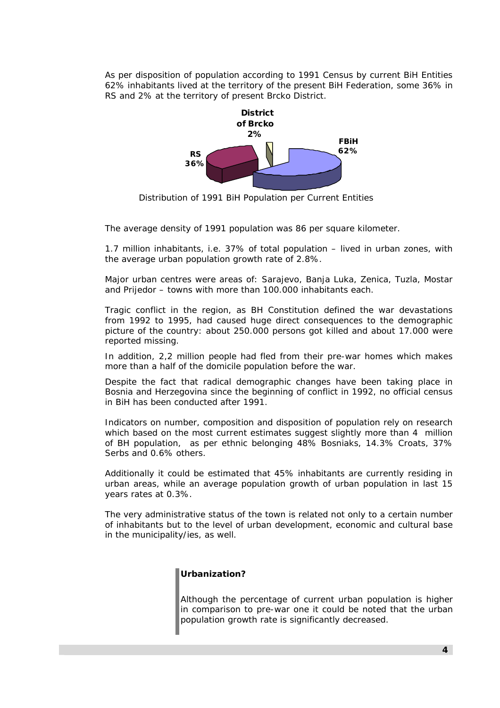As per disposition of population according to 1991 Census by current BiH Entities 62% inhabitants lived at the territory of the present BiH Federation, some 36% in RS and 2% at the territory of present Brcko District.



*Distribution of 1991 BiH Population per Current Entities* 

The average density of 1991 population was 86 per square kilometer.

1.7 million inhabitants, i.e. 37% of total population – lived in urban zones, with the average urban population growth rate of 2.8%.

Major urban centres were areas of: Sarajevo, Banja Luka, Zenica, Tuzla, Mostar and Prijedor – towns with more than 100.000 inhabitants each.

Tragic conflict in the region, as BH Constitution defined the war devastations from 1992 to 1995, had caused huge direct consequences to the demographic picture of the country: about 250.000 persons got killed and about 17.000 were reported missing.

In addition, 2,2 million people had fled from their pre-war homes which makes more than a half of the domicile population before the war.

Despite the fact that radical demographic changes have been taking place in Bosnia and Herzegovina since the beginning of conflict in 1992, no official census in BiH has been conducted after 1991.

Indicators on number, composition and disposition of population rely on research which based on the most current estimates suggest slightly more than 4 million of BH population, as per ethnic belonging 48% Bosniaks, 14.3% Croats, 37% Serbs and 0.6% others.

Additionally it could be estimated that 45% inhabitants are currently residing in urban areas, while an average population growth of urban population in last 15 years rates at 0.3%.

The very administrative status of the town is related not only to a certain number of inhabitants but to the level of urban development, economic and cultural base in the municipality/ies, as well.

# *Urbanization?*

*Although the percentage of current urban population is higher in comparison to pre-war one it could be noted that the urban population growth rate is significantly decreased.*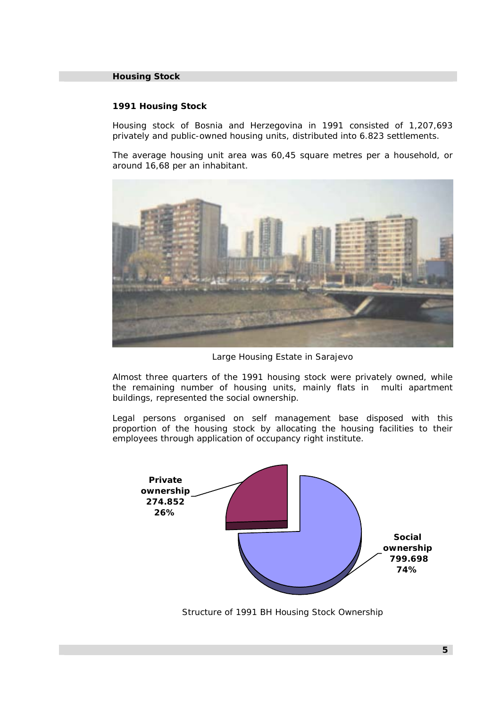### **Housing Stock**

#### **1991 Housing Stock**

Housing stock of Bosnia and Herzegovina in 1991 consisted of 1,207,693 privately and public-owned housing units, distributed into 6.823 settlements.

The average housing unit area was 60,45 square metres per a household, or around 16,68 per an inhabitant.



*Large Housing Estate in Sarajevo*

Almost three quarters of the 1991 housing stock were privately owned, while the remaining number of housing units, mainly flats in multi apartment buildings, represented the social ownership.

Legal persons organised on self management base disposed with this proportion of the housing stock by allocating the housing facilities to their employees through application of occupancy right institute.



*Structure of 1991 BH Housing Stock Ownership*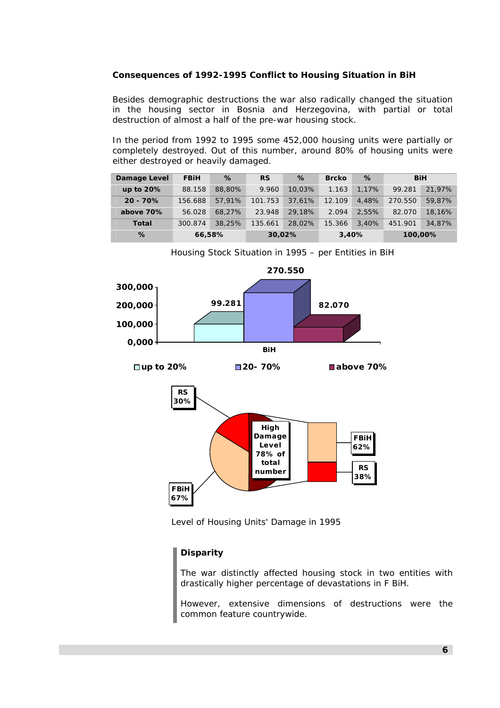# **Consequences of 1992-1995 Conflict to Housing Situation in BiH**

Besides demographic destructions the war also radically changed the situation in the housing sector in Bosnia and Herzegovina, with partial or total destruction of almost a half of the pre-war housing stock.

In the period from 1992 to 1995 some 452,000 housing units were partially or completely destroyed. Out of this number, around 80% of housing units were either destroyed or heavily damaged.

| Damage Level | <b>FBiH</b> | %      | <b>RS</b> | %      | <b>Brcko</b> | %     | BiH     |        |
|--------------|-------------|--------|-----------|--------|--------------|-------|---------|--------|
| up to $20%$  | 88.158      | 88,80% | 9.960     | 10.03% | 1.163        | 1.17% | 99.281  | 21.97% |
| $20 - 70%$   | 156.688     | 57.91% | 101.753   | 37.61% | 12.109       | 4.48% | 270.550 | 59.87% |
| above 70%    | 56.028      | 68.27% | 23.948    | 29.18% | 2.094        | 2.55% | 82.070  | 18.16% |
| Total        | 300.874     | 38,25% | 135.661   | 28.02% | 15.366       | 3.40% | 451.901 | 34.87% |
| %            | 66,58%      |        | 30,02%    |        | 3,40%        |       | 100,00% |        |





*Level of Housing Units' Damage in 1995* 

# *Disparity*

*The war distinctly affected housing stock in two entities with drastically higher percentage of devastations in F BiH.* 

*However, extensive dimensions of destructions were the common feature countrywide.*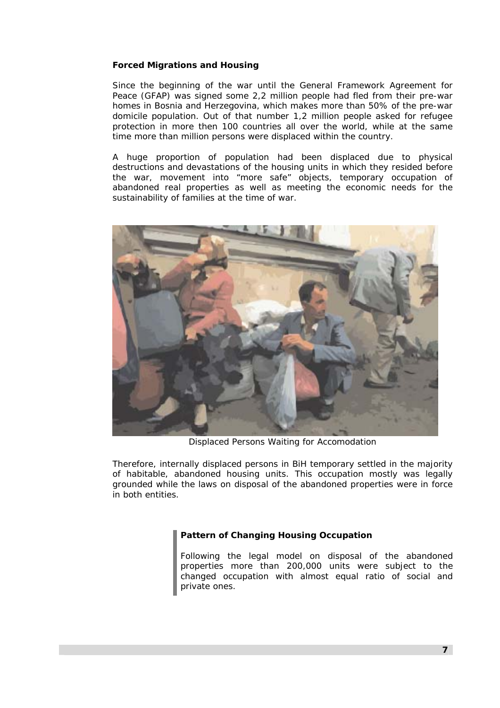### **Forced Migrations and Housing**

Since the beginning of the war until the General Framework Agreement for Peace (GFAP) was signed some 2,2 million people had fled from their pre-war homes in Bosnia and Herzegovina, which makes more than 50% of the pre-war domicile population. Out of that number 1,2 million people asked for refugee protection in more then 100 countries all over the world, while at the same time more than million persons were displaced within the country.

A huge proportion of population had been displaced due to physical destructions and devastations of the housing units in which they resided before the war, movement into "more safe" objects, temporary occupation of abandoned real properties as well as meeting the economic needs for the sustainability of families at the time of war.



*Displaced Persons Waiting for Accomodation* 

Therefore, internally displaced persons in BiH temporary settled in the majority of habitable, abandoned housing units. This occupation mostly was legally grounded while the laws on disposal of the abandoned properties were in force in both entities.

# *Pattern of Changing Housing Occupation*

*Following the legal model on disposal of the abandoned properties more than 200,000 units were subject to the changed occupation with almost equal ratio of social and private ones.*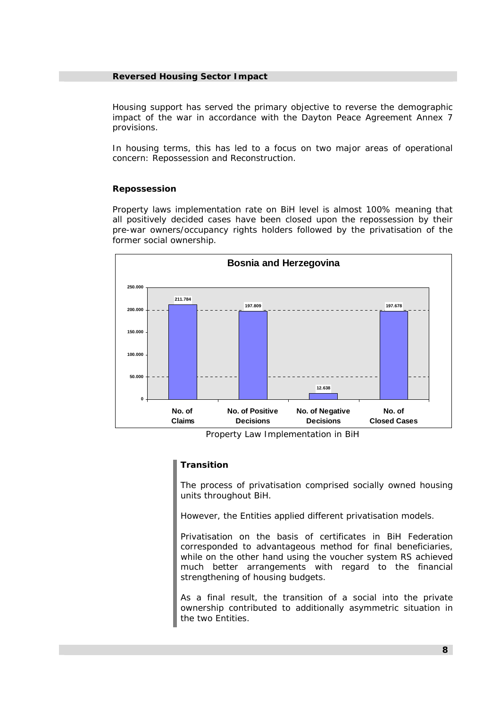#### **Reversed Housing Sector Impact**

Housing support has served the primary objective to reverse the demographic impact of the war in accordance with the Dayton Peace Agreement Annex 7 provisions.

In housing terms, this has led to a focus on two major areas of operational concern: Repossession and Reconstruction.

#### **Repossession**

Property laws implementation rate on BiH level is almost 100% meaning that all positively decided cases have been closed upon the repossession by their pre-war owners/occupancy rights holders followed by the privatisation of the former social ownership.



*Property Law Implementation in BiH* 

#### *Transition*

*The process of privatisation comprised socially owned housing units throughout BiH.* 

*However, the Entities applied different privatisation models.* 

*Privatisation on the basis of certificates in BiH Federation corresponded to advantageous method for final beneficiaries, while on the other hand using the voucher system RS achieved much better arrangements with regard to the financial strengthening of housing budgets.* 

*As a final result, the transition of a social into the private ownership contributed to additionally asymmetric situation in the two Entities.*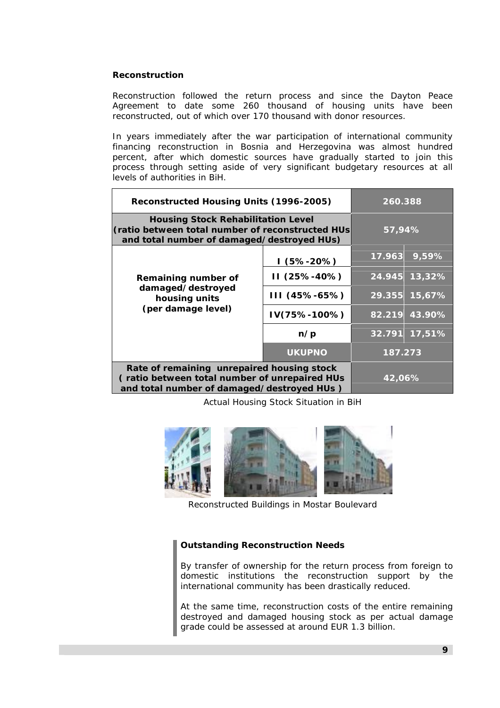# **Reconstruction**

Reconstruction followed the return process and since the Dayton Peace Agreement to date some 260 thousand of housing units have been reconstructed, out of which over 170 thousand with donor resources.

In years immediately after the war participation of international community financing reconstruction in Bosnia and Herzegovina was almost hundred percent, after which domestic sources have gradually started to join this process through setting aside of very significant budgetary resources at all levels of authorities in BiH.

| Reconstructed Housing Units (1996-2005)                                                                                                     | 260.388       |         |        |
|---------------------------------------------------------------------------------------------------------------------------------------------|---------------|---------|--------|
| <b>Housing Stock Rehabilitation Level</b><br>(ratio between total number of reconstructed HUs<br>and total number of damaged/destroyed HUs) | 57,94%        |         |        |
|                                                                                                                                             | I (5%-20%)    | 17.963  | 9,59%  |
| Remaining number of                                                                                                                         | II (25%-40%)  | 24.945  | 13,32% |
| damaged/destroyed<br>housing units                                                                                                          | III (45%-65%) | 29.355  | 15,67% |
| (per damage level)                                                                                                                          | IV(75%-100%)  | 82.219  | 43.90% |
|                                                                                                                                             | n/p           | 32.791  | 17,51% |
|                                                                                                                                             | <b>UKUPNO</b> | 187.273 |        |
| Rate of remaining unrepaired housing stock<br>(ratio between total number of unrepaired HUs<br>and total number of damaged/destroyed HUs)   | 42,06%        |         |        |

*Actual Housing Stock Situation in BiH* 



*Reconstructed Buildings in Mostar Boulevard* 

#### *Outstanding Reconstruction Needs*

*By transfer of ownership for the return process from foreign to domestic institutions the reconstruction support by the international community has been drastically reduced.* 

*At the same time, reconstruction costs of the entire remaining destroyed and damaged housing stock as per actual damage grade could be assessed at around EUR 1.3 billion.*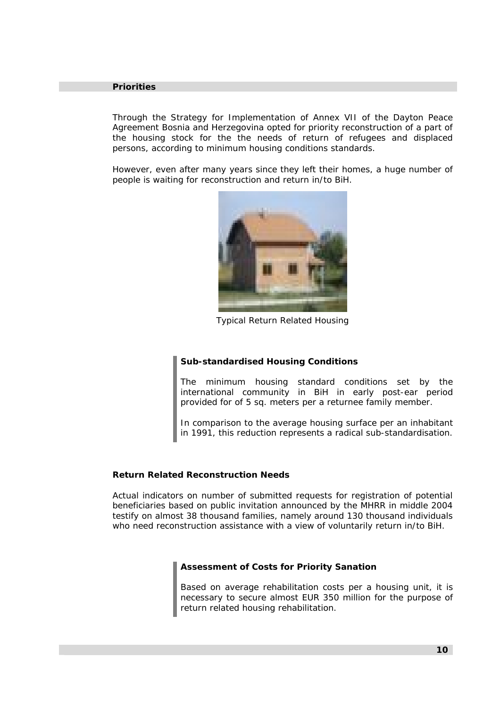#### **Priorities**

Through the Strategy for Implementation of Annex VII of the Dayton Peace Agreement Bosnia and Herzegovina opted for priority reconstruction of a part of the housing stock for the the needs of return of refugees and displaced persons, according to minimum housing conditions standards.

However, even after many years since they left their homes, a huge number of people is waiting for reconstruction and return in/to BiH.



*Typical Return Related Housing* 

#### *Sub-standardised Housing Conditions*

*The minimum housing standard conditions set by the international community in BiH in early post-ear period provided for of 5 sq. meters per a returnee family member.* 

*In comparison to the average housing surface per an inhabitant in 1991, this reduction represents a radical sub-standardisation.* 

#### **Return Related Reconstruction Needs**

Actual indicators on number of submitted requests for registration of potential beneficiaries based on public invitation announced by the MHRR in middle 2004 testify on almost 38 thousand families, namely around 130 thousand individuals who need reconstruction assistance with a view of voluntarily return in/to BiH.

#### *Assessment of Costs for Priority Sanation*

*Based on average rehabilitation costs per a housing unit, it is necessary to secure almost EUR 350 million for the purpose of return related housing rehabilitation.*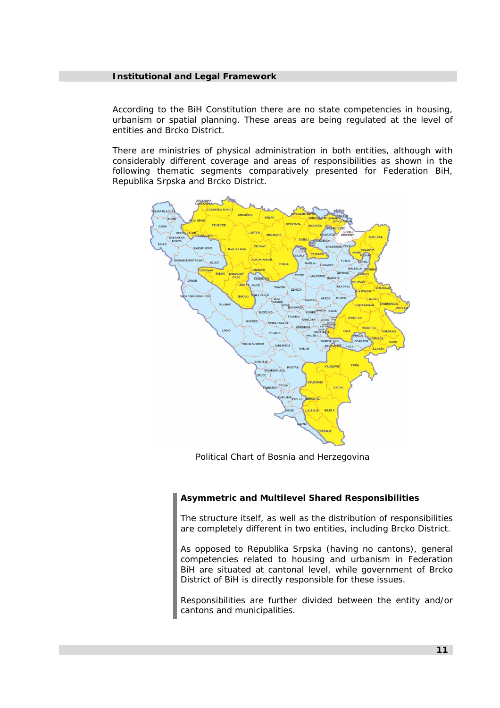#### **Institutional and Legal Framework**

According to the BiH Constitution there are no state competencies in housing, urbanism or spatial planning. These areas are being regulated at the level of entities and Brcko District.

There are ministries of physical administration in both entities, although with considerably different coverage and areas of responsibilities as shown in the following thematic segments comparatively presented for Federation BiH, Republika Srpska and Brcko District.



*Political Chart of Bosnia and Herzegovina* 

#### *Asymmetric and Multilevel Shared Responsibilities*

*The structure itself, as well as the distribution of responsibilities are completely different in two entities, including Brcko District.* 

*As opposed to Republika Srpska (having no cantons), general competencies related to housing and urbanism in Federation BiH are situated at cantonal level, while government of Brcko District of BiH is directly responsible for these issues.* 

*Responsibilities are further divided between the entity and/or cantons and municipalities.*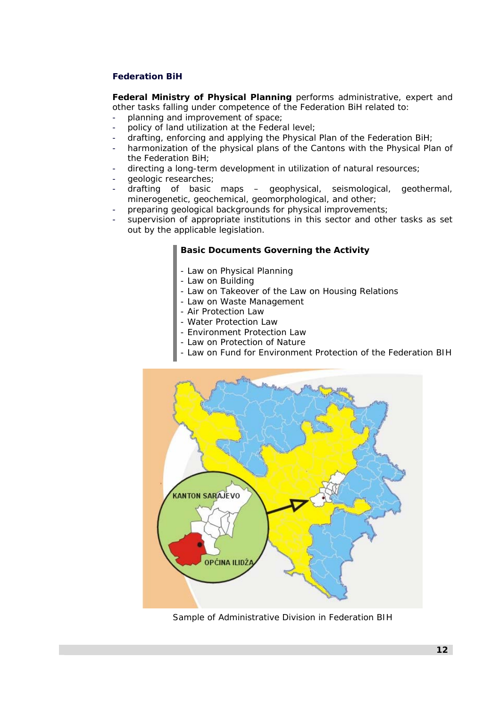# **Federation BiH**

**Federal Ministry of Physical Planning** performs administrative, expert and other tasks falling under competence of the Federation BiH related to:

- planning and improvement of space;
- policy of land utilization at the Federal level;
- drafting, enforcing and applying the Physical Plan of the Federation BiH;
- harmonization of the physical plans of the Cantons with the Physical Plan of the Federation BiH;
- directing a long-term development in utilization of natural resources;
- geologic researches;
- drafting of basic maps geophysical, seismological, geothermal, minerogenetic, geochemical, geomorphological, and other;
- preparing geological backgrounds for physical improvements;
- supervision of appropriate institutions in this sector and other tasks as set out by the applicable legislation.

#### *Basic Documents Governing the Activity*

- *Law on Physical Planning*
- *Law on Building*
- *Law on Takeover of the Law on Housing Relations*
- *Law on Waste Management*
- *Air Protection Law*
- *Water Protection Law*
- *Environment Protection Law*
- *Law on Protection of Nature*
- *Law on Fund for Environment Protection of the Federation BIH*



*Sample of Administrative Division in Federation BIH*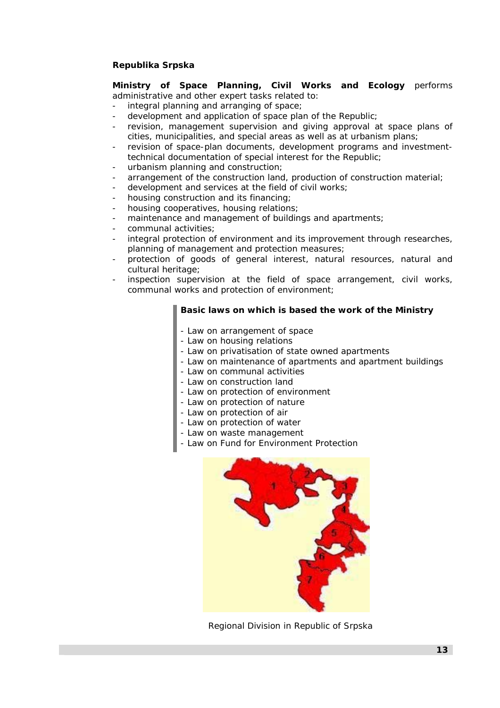# **Republika Srpska**

**Ministry of Space Planning, Civil Works and Ecology** performs administrative and other expert tasks related to:

- integral planning and arranging of space;
- development and application of space plan of the Republic;
- revision, management supervision and giving approval at space plans of cities, municipalities, and special areas as well as at urbanism plans;
- revision of space-plan documents, development programs and investmenttechnical documentation of special interest for the Republic;
- urbanism planning and construction;
- arrangement of the construction land, production of construction material;
- development and services at the field of civil works;
- housing construction and its financing;
- housing cooperatives, housing relations;
- maintenance and management of buildings and apartments;
- communal activities;
- integral protection of environment and its improvement through researches, planning of management and protection measures;
- protection of goods of general interest, natural resources, natural and cultural heritage;
- inspection supervision at the field of space arrangement, civil works, communal works and protection of environment;

#### *Basic laws on which is based the work of the Ministry*

- *Law on arrangement of space*
- *Law on housing relations*
- *Law on privatisation of state owned apartments*
- *Law on maintenance of apartments and apartment buildings*
- *Law on communal activities*
- *Law on construction land*
- *Law on protection of environment*
- *Law on protection of nature*
- *Law on protection of air*
- *Law on protection of water*
- *Law on waste management*
- *Law on Fund for Environment Protection*



 *Regional Division in Republic of Srpska*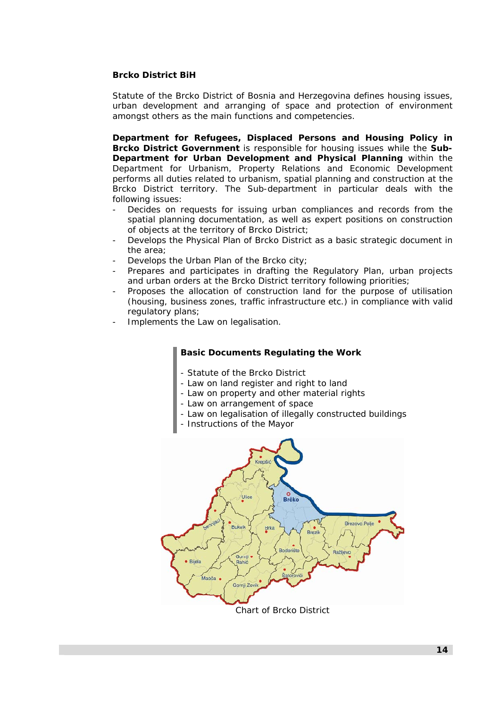# **Brcko District BiH**

Statute of the Brcko District of Bosnia and Herzegovina defines housing issues, urban development and arranging of space and protection of environment amongst others as the main functions and competencies.

**Department for Refugees, Displaced Persons and Housing Policy in Brcko District Government** is responsible for housing issues while the **Sub-Department for Urban Development and Physical Planning** within the Department for Urbanism, Property Relations and Economic Development performs all duties related to urbanism, spatial planning and construction at the Brcko District territory. The Sub-department in particular deals with the following issues:

- Decides on requests for issuing urban compliances and records from the spatial planning documentation, as well as expert positions on construction of objects at the territory of Brcko District;
- Develops the Physical Plan of Brcko District as a basic strategic document in the area;
- Develops the Urban Plan of the Brcko city;
- Prepares and participates in drafting the Regulatory Plan, urban projects and urban orders at the Brcko District territory following priorities;
- Proposes the allocation of construction land for the purpose of utilisation (housing, business zones, traffic infrastructure etc.) in compliance with valid regulatory plans;
- Implements the Law on legalisation.

# *Basic Documents Regulating the Work*

- *Statute of the Brcko District*
- *Law on land register and right to land*
- *Law on property and other material rights*
- *Law on arrangement of space*
- *Law on legalisation of illegally constructed buildings*
- *Instructions of the Mayor*



*Chart of Brcko District*